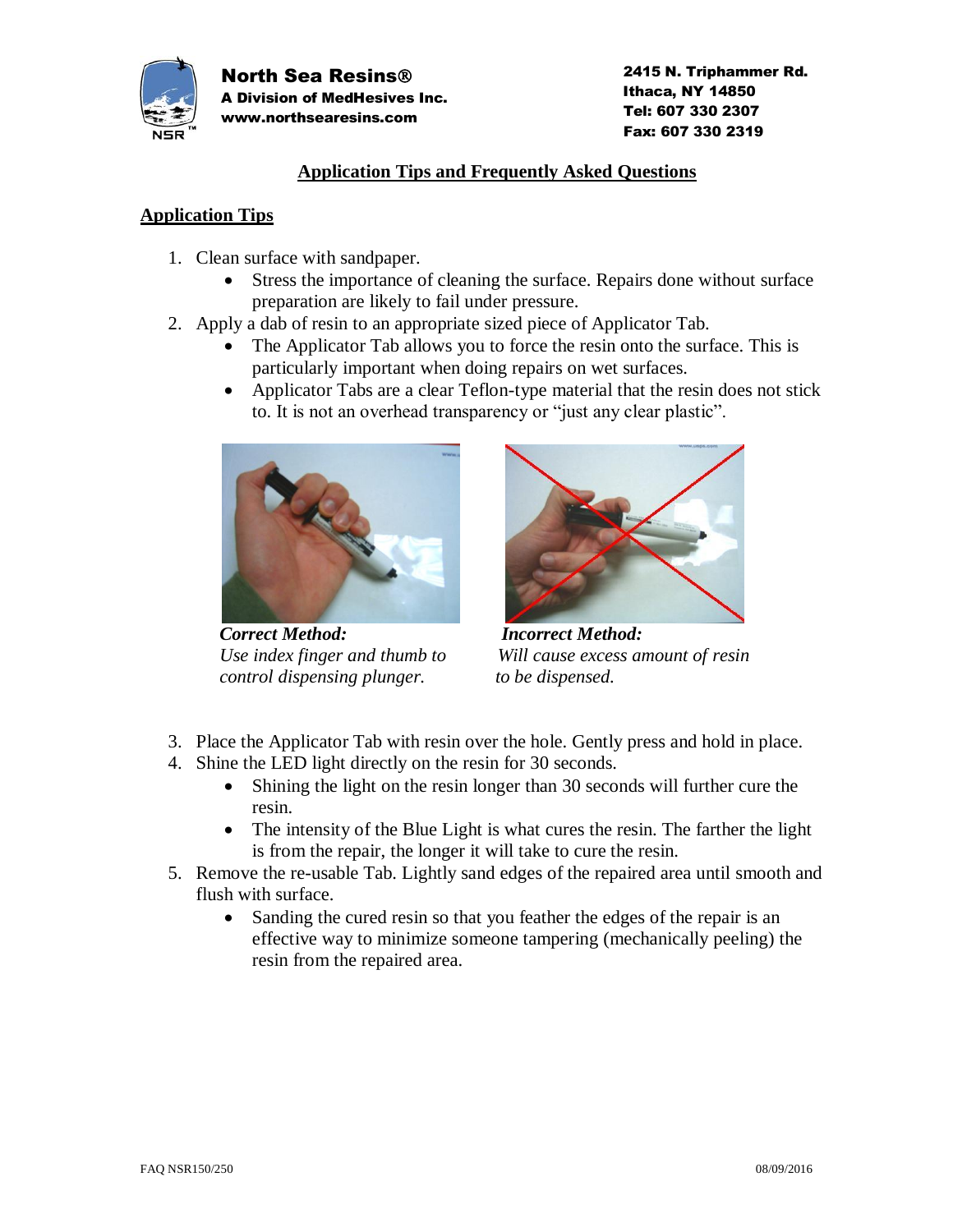

 2415 N. Triphammer Rd. Ithaca, NY 14850 Tel: 607 330 2307 Fax: 607 330 2319

#### **Application Tips and Frequently Asked Questions**

#### **Application Tips**

- 1. Clean surface with sandpaper.
	- Stress the importance of cleaning the surface. Repairs done without surface preparation are likely to fail under pressure.
- 2. Apply a dab of resin to an appropriate sized piece of Applicator Tab.
	- The Applicator Tab allows you to force the resin onto the surface. This is particularly important when doing repairs on wet surfaces.
	- Applicator Tabs are a clear Teflon-type material that the resin does not stick to. It is not an overhead transparency or "just any clear plastic".



 *Correct Method: Incorrect Method: control dispensing plunger.* to be dispensed.



 *Use index finger and thumb to Will cause excess amount of resin*

- 3. Place the Applicator Tab with resin over the hole. Gently press and hold in place.
- 4. Shine the LED light directly on the resin for 30 seconds.
	- Shining the light on the resin longer than 30 seconds will further cure the resin.
	- The intensity of the Blue Light is what cures the resin. The farther the light is from the repair, the longer it will take to cure the resin.
- 5. Remove the re-usable Tab. Lightly sand edges of the repaired area until smooth and flush with surface.
	- Sanding the cured resin so that you feather the edges of the repair is an effective way to minimize someone tampering (mechanically peeling) the resin from the repaired area.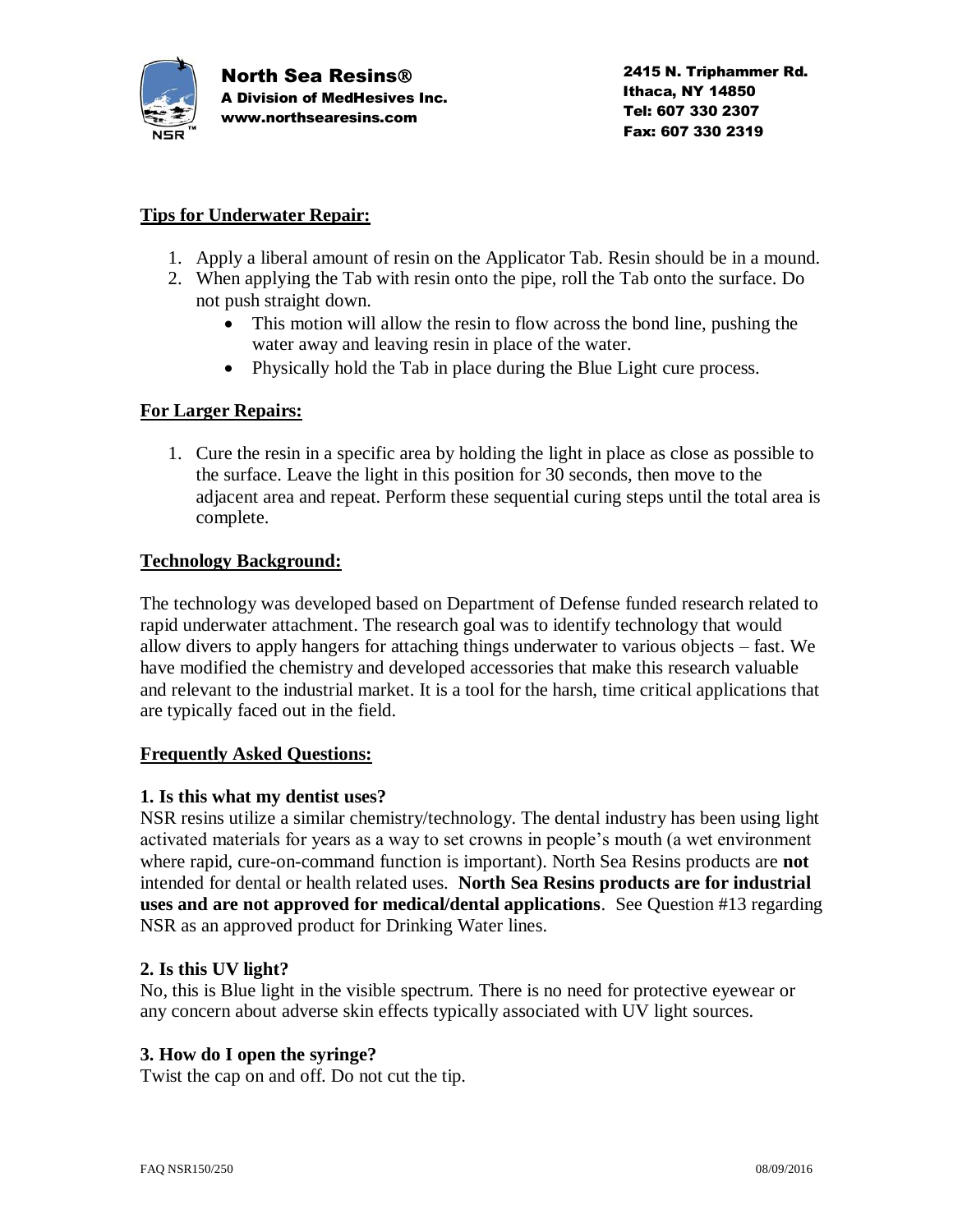

## **Tips for Underwater Repair:**

- 1. Apply a liberal amount of resin on the Applicator Tab. Resin should be in a mound.
- 2. When applying the Tab with resin onto the pipe, roll the Tab onto the surface. Do not push straight down.
	- This motion will allow the resin to flow across the bond line, pushing the water away and leaving resin in place of the water.
	- Physically hold the Tab in place during the Blue Light cure process.

## **For Larger Repairs:**

1. Cure the resin in a specific area by holding the light in place as close as possible to the surface. Leave the light in this position for 30 seconds, then move to the adjacent area and repeat. Perform these sequential curing steps until the total area is complete.

# **Technology Background:**

The technology was developed based on Department of Defense funded research related to rapid underwater attachment. The research goal was to identify technology that would allow divers to apply hangers for attaching things underwater to various objects – fast. We have modified the chemistry and developed accessories that make this research valuable and relevant to the industrial market. It is a tool for the harsh, time critical applications that are typically faced out in the field.

## **Frequently Asked Questions:**

#### **1. Is this what my dentist uses?**

NSR resins utilize a similar chemistry/technology. The dental industry has been using light activated materials for years as a way to set crowns in people's mouth (a wet environment where rapid, cure-on-command function is important). North Sea Resins products are **not** intended for dental or health related uses. **North Sea Resins products are for industrial uses and are not approved for medical/dental applications**. See Question #13 regarding NSR as an approved product for Drinking Water lines.

## **2. Is this UV light?**

No, this is Blue light in the visible spectrum. There is no need for protective eyewear or any concern about adverse skin effects typically associated with UV light sources.

## **3. How do I open the syringe?**

Twist the cap on and off. Do not cut the tip.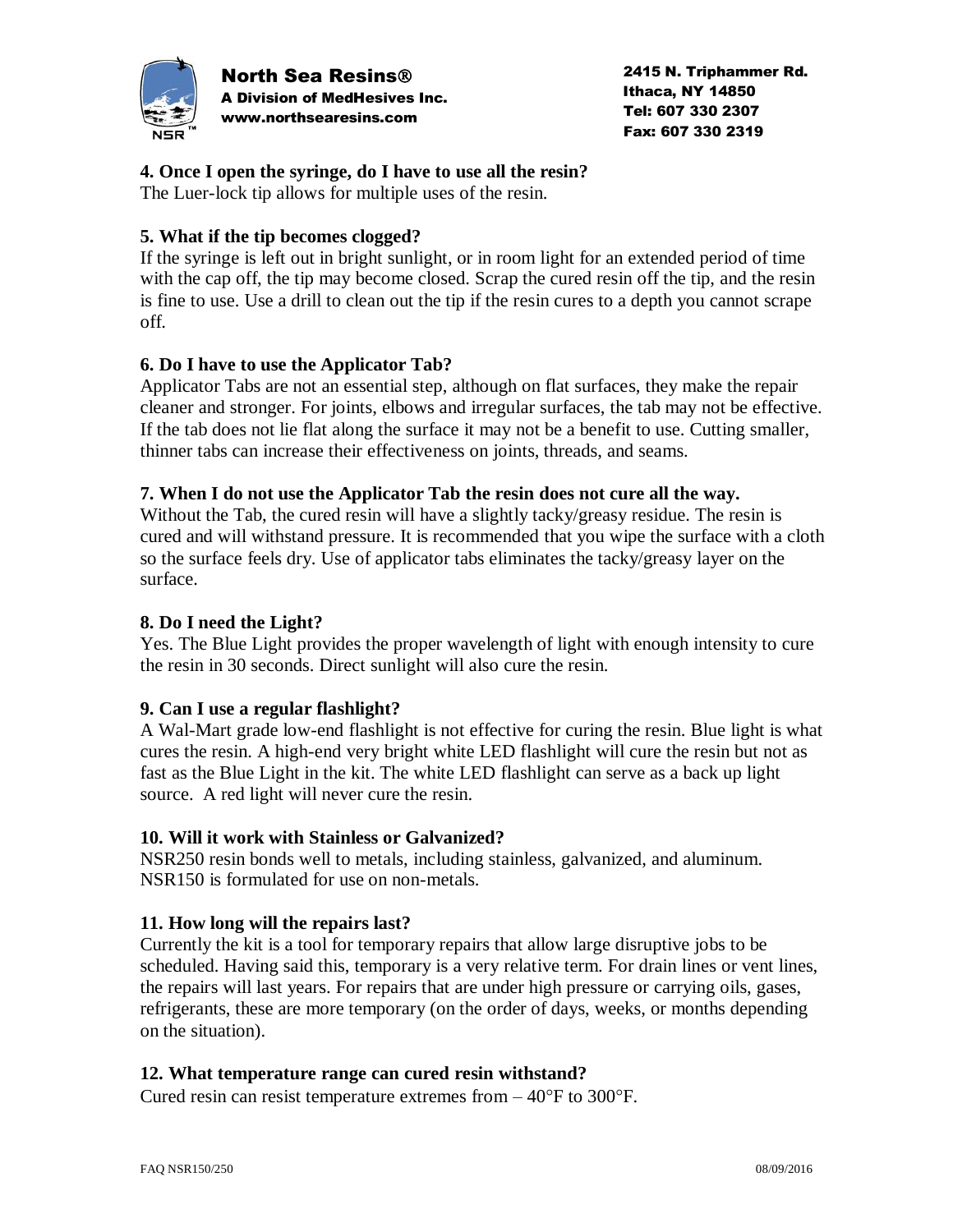

North Sea Resins A Division of MedHesives Inc. www.northsearesins.com

 2415 N. Triphammer Rd. Ithaca, NY 14850 Tel: 607 330 2307 Fax: 607 330 2319

#### **4. Once I open the syringe, do I have to use all the resin?**

The Luer-lock tip allows for multiple uses of the resin.

## **5. What if the tip becomes clogged?**

If the syringe is left out in bright sunlight, or in room light for an extended period of time with the cap off, the tip may become closed. Scrap the cured resin off the tip, and the resin is fine to use. Use a drill to clean out the tip if the resin cures to a depth you cannot scrape off.

### **6. Do I have to use the Applicator Tab?**

Applicator Tabs are not an essential step, although on flat surfaces, they make the repair cleaner and stronger. For joints, elbows and irregular surfaces, the tab may not be effective. If the tab does not lie flat along the surface it may not be a benefit to use. Cutting smaller, thinner tabs can increase their effectiveness on joints, threads, and seams.

#### **7. When I do not use the Applicator Tab the resin does not cure all the way.**

Without the Tab, the cured resin will have a slightly tacky/greasy residue. The resin is cured and will withstand pressure. It is recommended that you wipe the surface with a cloth so the surface feels dry. Use of applicator tabs eliminates the tacky/greasy layer on the surface.

### **8. Do I need the Light?**

Yes. The Blue Light provides the proper wavelength of light with enough intensity to cure the resin in 30 seconds. Direct sunlight will also cure the resin.

#### **9. Can I use a regular flashlight?**

A Wal-Mart grade low-end flashlight is not effective for curing the resin. Blue light is what cures the resin. A high-end very bright white LED flashlight will cure the resin but not as fast as the Blue Light in the kit. The white LED flashlight can serve as a back up light source. A red light will never cure the resin.

#### **10. Will it work with Stainless or Galvanized?**

NSR250 resin bonds well to metals, including stainless, galvanized, and aluminum. NSR150 is formulated for use on non-metals.

#### **11. How long will the repairs last?**

Currently the kit is a tool for temporary repairs that allow large disruptive jobs to be scheduled. Having said this, temporary is a very relative term. For drain lines or vent lines, the repairs will last years. For repairs that are under high pressure or carrying oils, gases, refrigerants, these are more temporary (on the order of days, weeks, or months depending on the situation).

#### **12. What temperature range can cured resin withstand?**

Cured resin can resist temperature extremes from  $-40^{\circ}$ F to 300 $^{\circ}$ F.